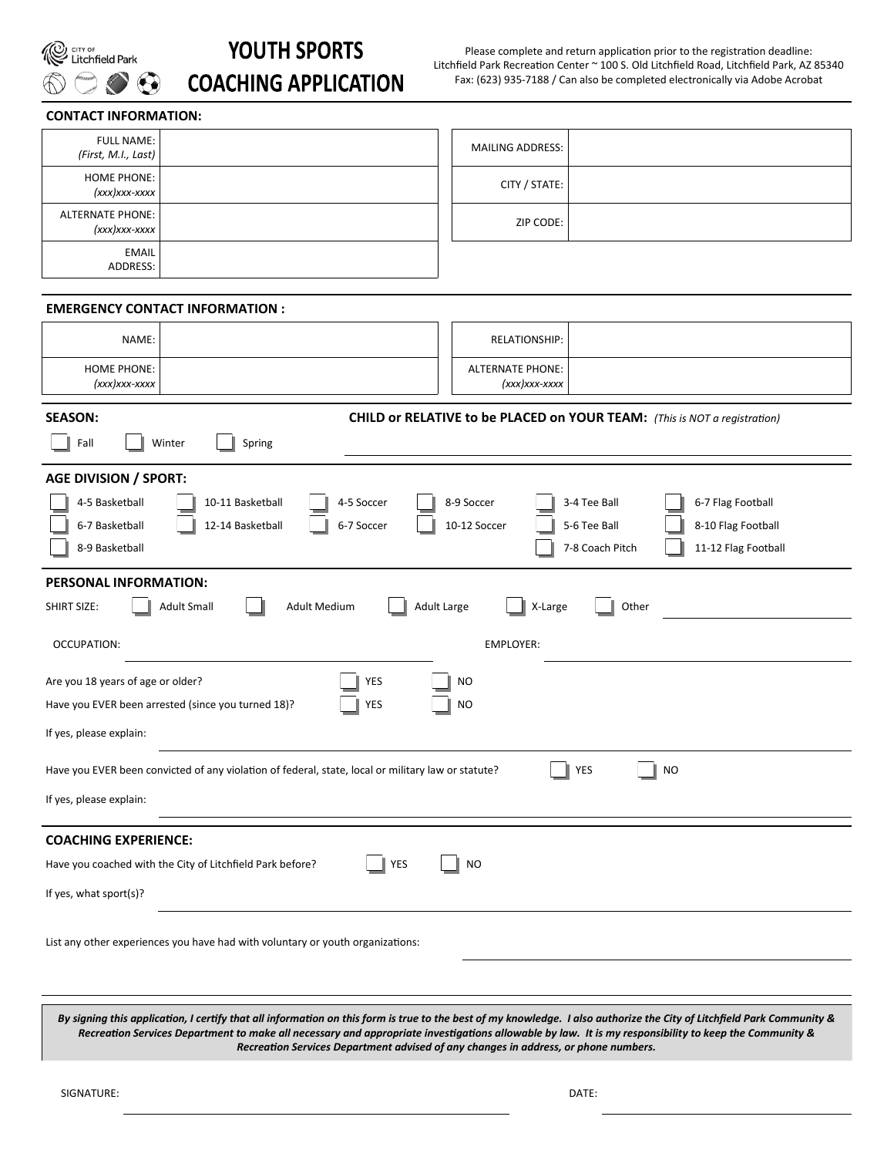

# **YOUTH SPORTS COACHING APPLICATION**

Please complete and return application prior to the registration deadline: Litchfield Park Recreation Center ~ 100 S. Old Litchfield Road, Litchfield Park, AZ 85340 Fax: (623) 935-7188 / Can also be completed electronically via Adobe Acrobat

#### **CONTACT INFORMATION:**

| <b>FULL NAME:</b><br>(First, M.I., Last)   | <b>MAILING ADDRESS:</b> |  |
|--------------------------------------------|-------------------------|--|
| <b>HOME PHONE:</b><br>$(xxx)xxx-xxxx$      | CITY / STATE:           |  |
| <b>ALTERNATE PHONE:</b><br>$(xxx)xxx-xxxx$ | ZIP CODE:               |  |
| <b>EMAIL</b><br>ADDRESS:                   |                         |  |

### **EMERGENCY CONTACT INFORMATION :**

| NAME:                                                                                                                                                                                                                                                                                                     | <b>RELATIONSHIP:</b>                       |  |  |  |  |  |  |
|-----------------------------------------------------------------------------------------------------------------------------------------------------------------------------------------------------------------------------------------------------------------------------------------------------------|--------------------------------------------|--|--|--|--|--|--|
| <b>HOME PHONE:</b><br>$(xxx)xxx-xxxx$                                                                                                                                                                                                                                                                     | <b>ALTERNATE PHONE:</b><br>$(xxx)xxx-xxxx$ |  |  |  |  |  |  |
| <b>SEASON:</b><br>CHILD or RELATIVE to be PLACED on YOUR TEAM: (This is NOT a registration)<br>Fall<br>Winter<br>Spring                                                                                                                                                                                   |                                            |  |  |  |  |  |  |
| <b>AGE DIVISION / SPORT:</b><br>4-5 Basketball<br>10-11 Basketball<br>4-5 Soccer<br>8-9 Soccer<br>3-4 Tee Ball<br>6-7 Flag Football<br>12-14 Basketball<br>6-7 Soccer<br>10-12 Soccer<br>8-10 Flag Football<br>6-7 Basketball<br>5-6 Tee Ball<br>8-9 Basketball<br>7-8 Coach Pitch<br>11-12 Flag Football |                                            |  |  |  |  |  |  |
| PERSONAL INFORMATION:<br><b>Adult Medium</b><br><b>Adult Large</b><br><b>SHIRT SIZE:</b><br><b>Adult Small</b><br>X-Large<br>Other                                                                                                                                                                        |                                            |  |  |  |  |  |  |
| OCCUPATION:                                                                                                                                                                                                                                                                                               | <b>EMPLOYER:</b>                           |  |  |  |  |  |  |
| Are you 18 years of age or older?<br>YES<br><b>NO</b><br>Have you EVER been arrested (since you turned 18)?<br>YES<br><b>NO</b><br>If yes, please explain:                                                                                                                                                |                                            |  |  |  |  |  |  |
| Have you EVER been convicted of any violation of federal, state, local or military law or statute?<br>YES<br><b>NO</b><br>If yes, please explain:                                                                                                                                                         |                                            |  |  |  |  |  |  |
| <b>COACHING EXPERIENCE:</b><br>Have you coached with the City of Litchfield Park before?<br><b>YES</b><br><b>NO</b><br>If yes, what sport(s)?                                                                                                                                                             |                                            |  |  |  |  |  |  |
| List any other experiences you have had with voluntary or youth organizations:                                                                                                                                                                                                                            |                                            |  |  |  |  |  |  |

*By signing this application, I certify that all information on this form is true to the best of my knowledge. I also authorize the City of Litchfield Park Community & Recreation Services Department to make all necessary and appropriate investigations allowable by law. It is my responsibility to keep the Community & Recreation Services Department advised of any changes in address, or phone numbers.*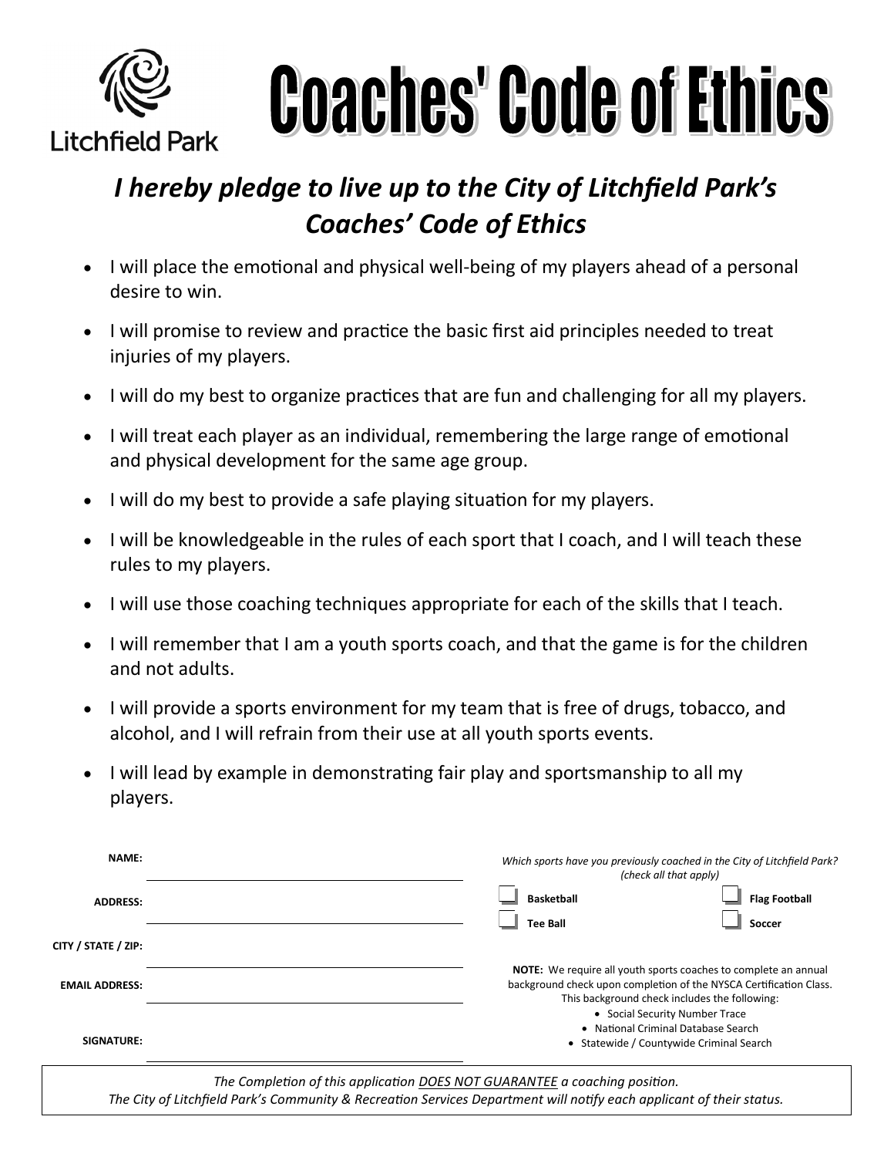

**Coaches' Code of Ethics** 

# *I hereby pledge to live up to the City of Litchfield Park's Coaches' Code of Ethics*

- I will place the emotional and physical well-being of my players ahead of a personal desire to win.
- I will promise to review and practice the basic first aid principles needed to treat injuries of my players.
- I will do my best to organize practices that are fun and challenging for all my players.
- I will treat each player as an individual, remembering the large range of emotional and physical development for the same age group.
- I will do my best to provide a safe playing situation for my players.
- I will be knowledgeable in the rules of each sport that I coach, and I will teach these rules to my players.
- I will use those coaching techniques appropriate for each of the skills that I teach.
- I will remember that I am a youth sports coach, and that the game is for the children and not adults.
- I will provide a sports environment for my team that is free of drugs, tobacco, and alcohol, and I will refrain from their use at all youth sports events.
- I will lead by example in demonstrating fair play and sportsmanship to all my players.

| <b>NAME:</b>          | Which sports have you previously coached in the City of Litchfield Park?<br>(check all that apply)                                                                                                                              |                                |  |  |
|-----------------------|---------------------------------------------------------------------------------------------------------------------------------------------------------------------------------------------------------------------------------|--------------------------------|--|--|
| <b>ADDRESS:</b>       | <b>Basketball</b><br><b>Tee Ball</b>                                                                                                                                                                                            | <b>Flag Football</b><br>Soccer |  |  |
| CITY / STATE / ZIP:   |                                                                                                                                                                                                                                 |                                |  |  |
| <b>EMAIL ADDRESS:</b> | <b>NOTE:</b> We require all youth sports coaches to complete an annual<br>background check upon completion of the NYSCA Certification Class.<br>This background check includes the following:<br>• Social Security Number Trace |                                |  |  |
| SIGNATURE:            | • National Criminal Database Search<br>• Statewide / Countywide Criminal Search                                                                                                                                                 |                                |  |  |

*The Completion of this application DOES NOT GUARANTEE a coaching position. The City of Litchfield Park's Community & Recreation Services Department will notify each applicant of their status.*